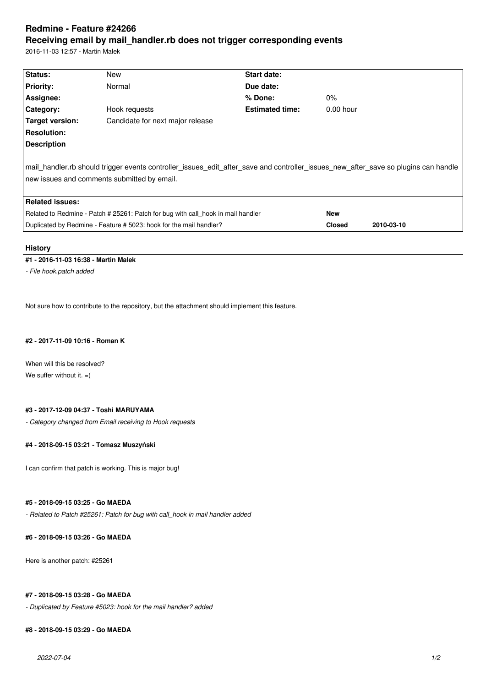# **Redmine - Feature #24266 Receiving email by mail\_handler.rb does not trigger corresponding events**

2016-11-03 12:57 - Martin Malek

| Status:                                                                                                                                                                           | New                              | <b>Start date:</b>     |               |            |
|-----------------------------------------------------------------------------------------------------------------------------------------------------------------------------------|----------------------------------|------------------------|---------------|------------|
| <b>Priority:</b>                                                                                                                                                                  | Normal                           | Due date:              |               |            |
| Assignee:                                                                                                                                                                         |                                  | $%$ Done:              | $0\%$         |            |
| Category:                                                                                                                                                                         | Hook requests                    | <b>Estimated time:</b> | $0.00$ hour   |            |
| Target version:                                                                                                                                                                   | Candidate for next major release |                        |               |            |
| <b>Resolution:</b>                                                                                                                                                                |                                  |                        |               |            |
| <b>Description</b>                                                                                                                                                                |                                  |                        |               |            |
| mail handler.rb should trigger events controller issues edit after save and controller issues new after save so plugins can handle<br>new issues and comments submitted by email. |                                  |                        |               |            |
| <b>Related issues:</b>                                                                                                                                                            |                                  |                        |               |            |
| Related to Redmine - Patch # 25261: Patch for bug with call hook in mail handler                                                                                                  |                                  |                        | <b>New</b>    |            |
| Duplicated by Redmine - Feature # 5023: hook for the mail handler?                                                                                                                |                                  |                        | <b>Closed</b> | 2010-03-10 |

#### **History**

#### **#1 - 2016-11-03 16:38 - Martin Malek**

*- File hook.patch added*

Not sure how to contribute to the repository, but the attachment should implement this feature.

#### **#2 - 2017-11-09 10:16 - Roman K**

When will this be resolved? We suffer without it.  $=$  (

### **#3 - 2017-12-09 04:37 - Toshi MARUYAMA**

*- Category changed from Email receiving to Hook requests*

## **#4 - 2018-09-15 03:21 - Tomasz Muszyński**

I can confirm that patch is working. This is major bug!

#### **#5 - 2018-09-15 03:25 - Go MAEDA**

*- Related to Patch #25261: Patch for bug with call\_hook in mail handler added*

#### **#6 - 2018-09-15 03:26 - Go MAEDA**

Here is another patch: #25261

#### **#7 - 2018-09-15 03:28 - Go MAEDA**

*- Duplicated by Feature #5023: hook for the mail handler? added*

#### **#8 - 2018-09-15 03:29 - Go MAEDA**